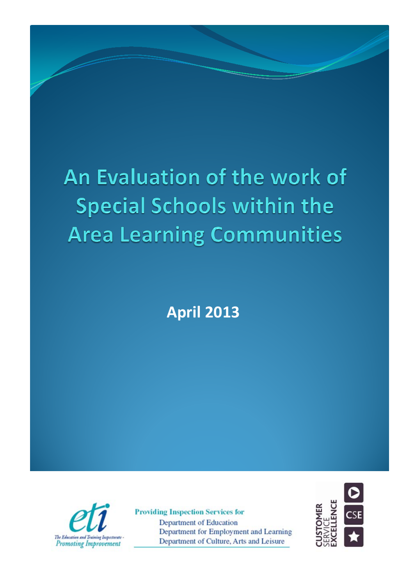# An Evaluation of the work of **Special Schools within the Area Learning Communities**

**April 2013**



**Providing Inspection Services for Department of Education** Department for Employment and Learning Department of Culture, Arts and Leisure

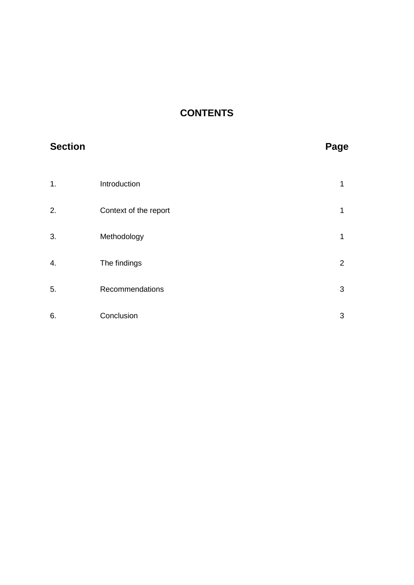# **CONTENTS**

| <b>Section</b> |                       | Page           |
|----------------|-----------------------|----------------|
| 1.             | Introduction          | 1              |
| 2.             | Context of the report | 1              |
| 3.             | Methodology           | 1              |
| 4.             | The findings          | $\overline{2}$ |
| 5.             | Recommendations       | 3              |
| 6.             | Conclusion            | 3              |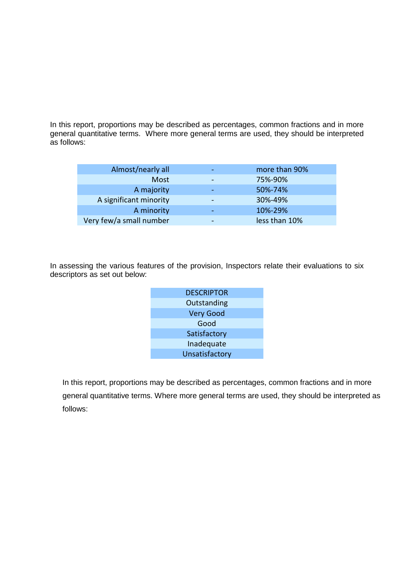In this report, proportions may be described as percentages, common fractions and in more general quantitative terms. Where more general terms are used, they should be interpreted as follows:

| Almost/nearly all       | $\sim$                   | more than 90% |
|-------------------------|--------------------------|---------------|
| Most                    |                          | 75%-90%       |
| A majority              |                          | 50%-74%       |
| A significant minority  |                          | 30%-49%       |
| A minority              | $\overline{\phantom{a}}$ | 10%-29%       |
| Very few/a small number |                          | less than 10% |

In assessing the various features of the provision, Inspectors relate their evaluations to six descriptors as set out below:

| <b>DESCRIPTOR</b> |
|-------------------|
| Outstanding       |
| <b>Very Good</b>  |
| Good              |
| Satisfactory      |
| Inadequate        |
| Unsatisfactory    |

In this report, proportions may be described as percentages, common fractions and in more general quantitative terms. Where more general terms are used, they should be interpreted as follows: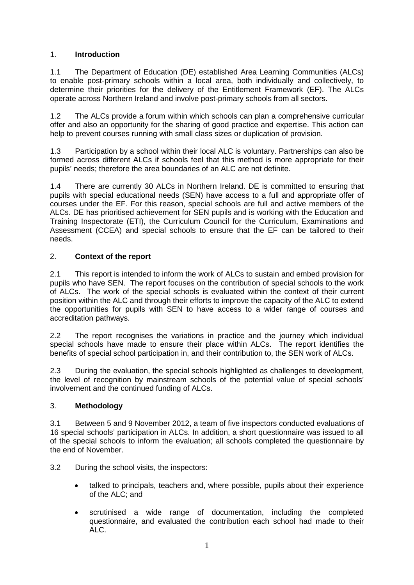# 1. **Introduction**

1.1 The Department of Education (DE) established Area Learning Communities (ALCs) to enable post-primary schools within a local area, both individually and collectively, to determine their priorities for the delivery of the Entitlement Framework (EF). The ALCs operate across Northern Ireland and involve post-primary schools from all sectors.

1.2 The ALCs provide a forum within which schools can plan a comprehensive curricular offer and also an opportunity for the sharing of good practice and expertise. This action can help to prevent courses running with small class sizes or duplication of provision.

1.3 Participation by a school within their local ALC is voluntary. Partnerships can also be formed across different ALCs if schools feel that this method is more appropriate for their pupils' needs; therefore the area boundaries of an ALC are not definite.

1.4 There are currently 30 ALCs in Northern Ireland. DE is committed to ensuring that pupils with special educational needs (SEN) have access to a full and appropriate offer of courses under the EF. For this reason, special schools are full and active members of the ALCs. DE has prioritised achievement for SEN pupils and is working with the Education and Training Inspectorate (ETI), the Curriculum Council for the Curriculum, Examinations and Assessment (CCEA) and special schools to ensure that the EF can be tailored to their needs.

# 2. **Context of the report**

2.1 This report is intended to inform the work of ALCs to sustain and embed provision for pupils who have SEN. The report focuses on the contribution of special schools to the work of ALCs. The work of the special schools is evaluated within the context of their current position within the ALC and through their efforts to improve the capacity of the ALC to extend the opportunities for pupils with SEN to have access to a wider range of courses and accreditation pathways.

2.2 The report recognises the variations in practice and the journey which individual special schools have made to ensure their place within ALCs. The report identifies the benefits of special school participation in, and their contribution to, the SEN work of ALCs.

2.3 During the evaluation, the special schools highlighted as challenges to development, the level of recognition by mainstream schools of the potential value of special schools' involvement and the continued funding of ALCs.

# 3. **Methodology**

3.1 Between 5 and 9 November 2012, a team of five inspectors conducted evaluations of 16 special schools' participation in ALCs. In addition, a short questionnaire was issued to all of the special schools to inform the evaluation; all schools completed the questionnaire by the end of November.

- 3.2 During the school visits, the inspectors:
	- talked to principals, teachers and, where possible, pupils about their experience of the ALC; and
	- scrutinised a wide range of documentation, including the completed questionnaire, and evaluated the contribution each school had made to their ALC.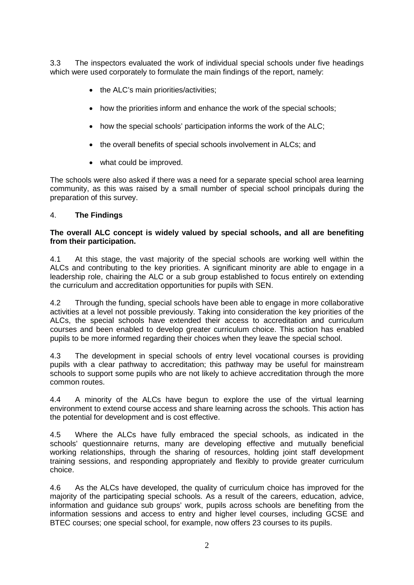3.3 The inspectors evaluated the work of individual special schools under five headings which were used corporately to formulate the main findings of the report, namely:

- the ALC's main priorities/activities;
- how the priorities inform and enhance the work of the special schools;
- how the special schools' participation informs the work of the ALC:
- the overall benefits of special schools involvement in ALCs: and
- what could be improved.

The schools were also asked if there was a need for a separate special school area learning community, as this was raised by a small number of special school principals during the preparation of this survey.

#### 4. **The Findings**

#### **The overall ALC concept is widely valued by special schools, and all are benefiting from their participation.**

4.1 At this stage, the vast majority of the special schools are working well within the ALCs and contributing to the key priorities. A significant minority are able to engage in a leadership role, chairing the ALC or a sub group established to focus entirely on extending the curriculum and accreditation opportunities for pupils with SEN.

4.2 Through the funding, special schools have been able to engage in more collaborative activities at a level not possible previously. Taking into consideration the key priorities of the ALCs, the special schools have extended their access to accreditation and curriculum courses and been enabled to develop greater curriculum choice. This action has enabled pupils to be more informed regarding their choices when they leave the special school.

4.3 The development in special schools of entry level vocational courses is providing pupils with a clear pathway to accreditation; this pathway may be useful for mainstream schools to support some pupils who are not likely to achieve accreditation through the more common routes.

4.4 A minority of the ALCs have begun to explore the use of the virtual learning environment to extend course access and share learning across the schools. This action has the potential for development and is cost effective.

4.5 Where the ALCs have fully embraced the special schools, as indicated in the schools' questionnaire returns, many are developing effective and mutually beneficial working relationships, through the sharing of resources, holding joint staff development training sessions, and responding appropriately and flexibly to provide greater curriculum choice.

4.6 As the ALCs have developed, the quality of curriculum choice has improved for the majority of the participating special schools. As a result of the careers, education, advice, information and guidance sub groups' work, pupils across schools are benefiting from the information sessions and access to entry and higher level courses, including GCSE and BTEC courses; one special school, for example, now offers 23 courses to its pupils.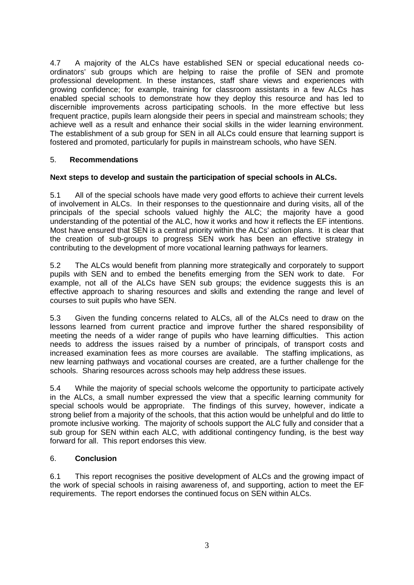4.7 A majority of the ALCs have established SEN or special educational needs coordinators' sub groups which are helping to raise the profile of SEN and promote professional development. In these instances, staff share views and experiences with growing confidence; for example, training for classroom assistants in a few ALCs has enabled special schools to demonstrate how they deploy this resource and has led to discernible improvements across participating schools. In the more effective but less frequent practice, pupils learn alongside their peers in special and mainstream schools; they achieve well as a result and enhance their social skills in the wider learning environment. The establishment of a sub group for SEN in all ALCs could ensure that learning support is fostered and promoted, particularly for pupils in mainstream schools, who have SEN.

### 5. **Recommendations**

#### **Next steps to develop and sustain the participation of special schools in ALCs.**

5.1 All of the special schools have made very good efforts to achieve their current levels of involvement in ALCs. In their responses to the questionnaire and during visits, all of the principals of the special schools valued highly the ALC; the majority have a good understanding of the potential of the ALC, how it works and how it reflects the EF intentions. Most have ensured that SEN is a central priority within the ALCs' action plans. It is clear that the creation of sub-groups to progress SEN work has been an effective strategy in contributing to the development of more vocational learning pathways for learners.

5.2 The ALCs would benefit from planning more strategically and corporately to support pupils with SEN and to embed the benefits emerging from the SEN work to date. For example, not all of the ALCs have SEN sub groups; the evidence suggests this is an effective approach to sharing resources and skills and extending the range and level of courses to suit pupils who have SEN.

5.3 Given the funding concerns related to ALCs, all of the ALCs need to draw on the lessons learned from current practice and improve further the shared responsibility of meeting the needs of a wider range of pupils who have learning difficulties. This action needs to address the issues raised by a number of principals, of transport costs and increased examination fees as more courses are available. The staffing implications, as new learning pathways and vocational courses are created, are a further challenge for the schools. Sharing resources across schools may help address these issues.

5.4 While the majority of special schools welcome the opportunity to participate actively in the ALCs, a small number expressed the view that a specific learning community for special schools would be appropriate. The findings of this survey, however, indicate a strong belief from a majority of the schools, that this action would be unhelpful and do little to promote inclusive working. The majority of schools support the ALC fully and consider that a sub group for SEN within each ALC, with additional contingency funding, is the best way forward for all. This report endorses this view.

#### 6. **Conclusion**

6.1 This report recognises the positive development of ALCs and the growing impact of the work of special schools in raising awareness of, and supporting, action to meet the EF requirements. The report endorses the continued focus on SEN within ALCs.